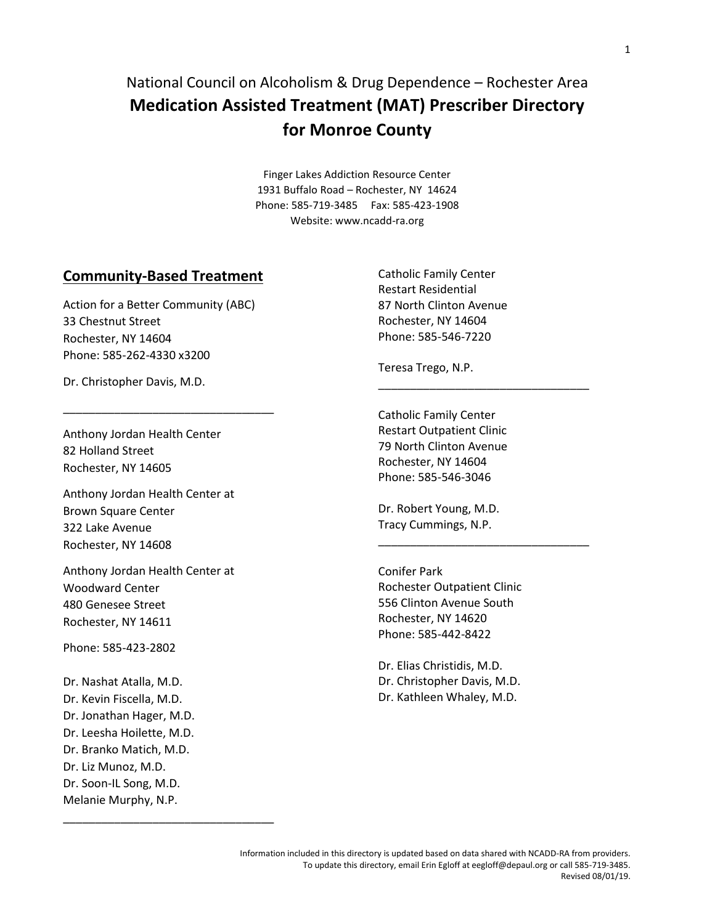# National Council on Alcoholism & Drug Dependence – Rochester Area **Medication Assisted Treatment (MAT) Prescriber Directory for Monroe County**

Finger Lakes Addiction Resource Center 1931 Buffalo Road – Rochester, NY 14624 Phone: 585-719-3485 Fax: 585-423-1908 Website: [www.ncadd-ra.org](http://www.ncadd-ra.org/)

#### **Community-Based Treatment**

Action for a Better Community (ABC) 33 Chestnut Street Rochester, NY 14604 Phone: 585-262-4330 x3200

\_\_\_\_\_\_\_\_\_\_\_\_\_\_\_\_\_\_\_\_\_\_\_\_\_\_\_\_\_\_\_\_\_

Dr. Christopher Davis, M.D.

Anthony Jordan Health Center 82 Holland Street Rochester, NY 14605

Anthony Jordan Health Center at Brown Square Center 322 Lake Avenue Rochester, NY 14608

Anthony Jordan Health Center at Woodward Center 480 Genesee Street Rochester, NY 14611

Phone: 585-423-2802

Dr. Nashat Atalla, M.D. Dr. Kevin Fiscella, M.D. Dr. Jonathan Hager, M.D. Dr. Leesha Hoilette, M.D. Dr. Branko Matich, M.D. Dr. Liz Munoz, M.D. Dr. Soon-IL Song, M.D. Melanie Murphy, N.P.

\_\_\_\_\_\_\_\_\_\_\_\_\_\_\_\_\_\_\_\_\_\_\_\_\_\_\_\_\_\_\_\_\_

Catholic Family Center Restart Residential 87 North Clinton Avenue Rochester, NY 14604 Phone: 585-546-7220

Teresa Trego, N.P.

Catholic Family Center Restart Outpatient Clinic 79 North Clinton Avenue Rochester, NY 14604 Phone: 585-546-3046

\_\_\_\_\_\_\_\_\_\_\_\_\_\_\_\_\_\_\_\_\_\_\_\_\_\_\_\_\_\_\_\_\_

\_\_\_\_\_\_\_\_\_\_\_\_\_\_\_\_\_\_\_\_\_\_\_\_\_\_\_\_\_\_\_\_\_

Dr. Robert Young, M.D. Tracy Cummings, N.P.

Conifer Park Rochester Outpatient Clinic 556 Clinton Avenue South Rochester, NY 14620 Phone: 585-442-8422

Dr. Elias Christidis, M.D. Dr. Christopher Davis, M.D. Dr. Kathleen Whaley, M.D.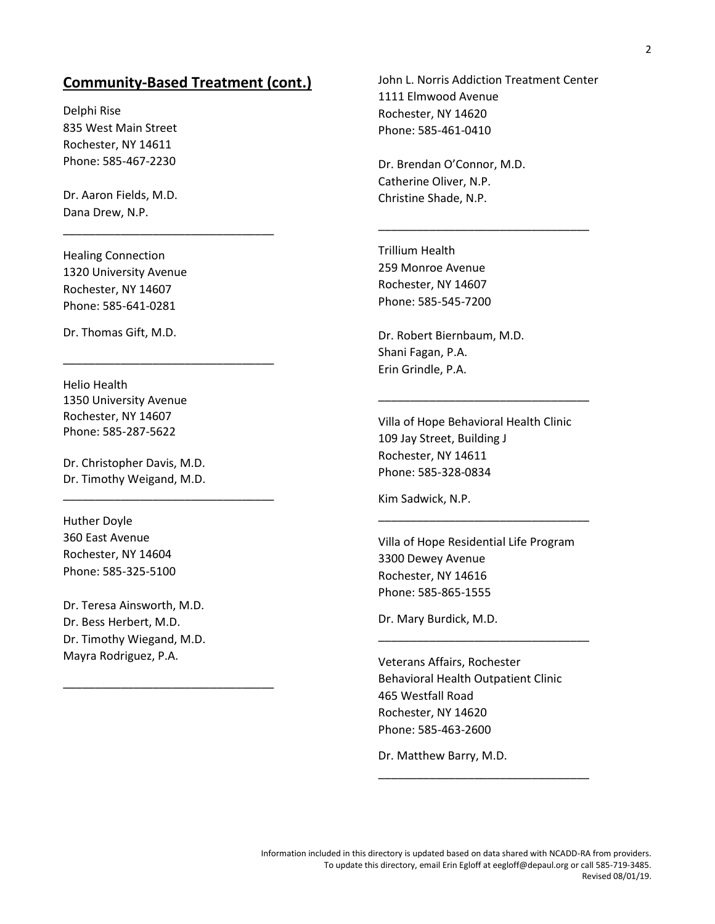## **Community-Based Treatment (cont.)**

\_\_\_\_\_\_\_\_\_\_\_\_\_\_\_\_\_\_\_\_\_\_\_\_\_\_\_\_\_\_\_\_\_

\_\_\_\_\_\_\_\_\_\_\_\_\_\_\_\_\_\_\_\_\_\_\_\_\_\_\_\_\_\_\_\_\_

\_\_\_\_\_\_\_\_\_\_\_\_\_\_\_\_\_\_\_\_\_\_\_\_\_\_\_\_\_\_\_\_\_

\_\_\_\_\_\_\_\_\_\_\_\_\_\_\_\_\_\_\_\_\_\_\_\_\_\_\_\_\_\_\_\_\_

Delphi Rise 835 West Main Street Rochester, NY 14611 Phone: 585-467-2230

Dr. Aaron Fields, M.D. Dana Drew, N.P.

Healing Connection 1320 University Avenue Rochester, NY 14607 Phone: 585-641-0281

Dr. Thomas Gift, M.D.

Helio Health 1350 University Avenue Rochester, NY 14607 Phone: 585-287-5622

Dr. Christopher Davis, M.D. Dr. Timothy Weigand, M.D.

Huther Doyle 360 East Avenue Rochester, NY 14604 Phone: 585-325-5100

Dr. Teresa Ainsworth, M.D. Dr. Bess Herbert, M.D. Dr. Timothy Wiegand, M.D. Mayra Rodriguez, P.A.

John L. Norris Addiction Treatment Center 1111 Elmwood Avenue Rochester, NY 14620 Phone: 585-461-0410

\_\_\_\_\_\_\_\_\_\_\_\_\_\_\_\_\_\_\_\_\_\_\_\_\_\_\_\_\_\_\_\_\_

Dr. Brendan O'Connor, M.D. Catherine Oliver, N.P. Christine Shade, N.P.

Trillium Health 259 Monroe Avenue Rochester, NY 14607 Phone: 585-545-7200

Dr. Robert Biernbaum, M.D. Shani Fagan, P.A. Erin Grindle, P.A.

Villa of Hope Behavioral Health Clinic 109 Jay Street, Building J Rochester, NY 14611 Phone: 585-328-0834

\_\_\_\_\_\_\_\_\_\_\_\_\_\_\_\_\_\_\_\_\_\_\_\_\_\_\_\_\_\_\_\_\_

Kim Sadwick, N.P.

Villa of Hope Residential Life Program 3300 Dewey Avenue Rochester, NY 14616 Phone: 585-865-1555

\_\_\_\_\_\_\_\_\_\_\_\_\_\_\_\_\_\_\_\_\_\_\_\_\_\_\_\_\_\_\_\_\_

\_\_\_\_\_\_\_\_\_\_\_\_\_\_\_\_\_\_\_\_\_\_\_\_\_\_\_\_\_\_\_\_\_

\_\_\_\_\_\_\_\_\_\_\_\_\_\_\_\_\_\_\_\_\_\_\_\_\_\_\_\_\_\_\_\_\_

Dr. Mary Burdick, M.D.

Veterans Affairs, Rochester Behavioral Health Outpatient Clinic 465 Westfall Road Rochester, NY 14620 Phone: 585-463-2600

Dr. Matthew Barry, M.D.

Information included in this directory is updated based on data shared with NCADD-RA from providers. To update this directory, email Erin Egloff at eegloff@depaul.org or call 585-719-3485. Revised 08/01/19.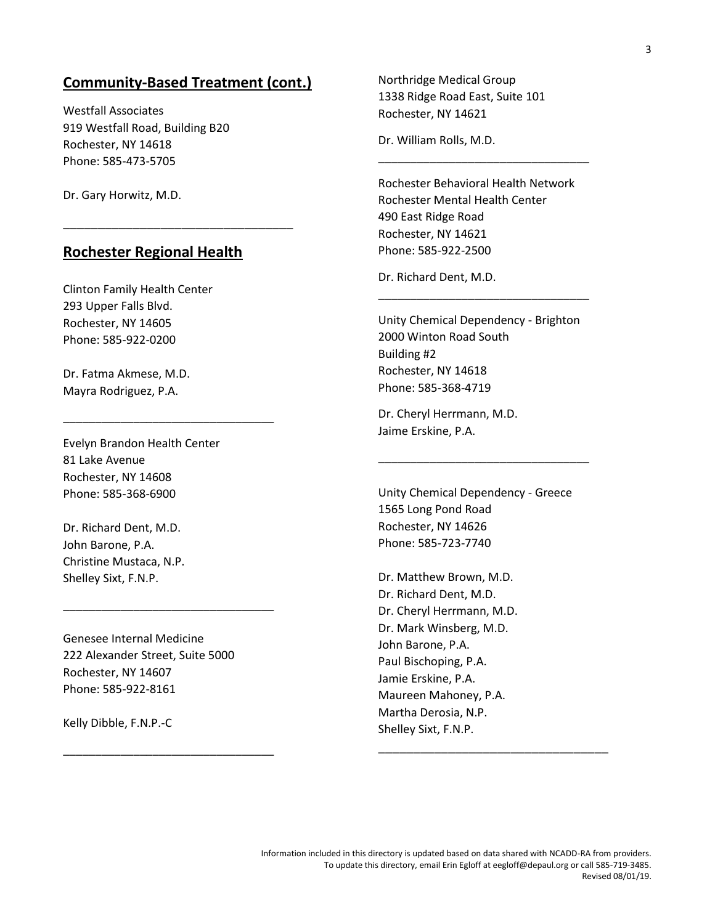## **Community-Based Treatment (cont.)**

Westfall Associates 919 Westfall Road, Building B20 Rochester, NY 14618 Phone: 585-473-5705

Dr. Gary Horwitz, M.D.

### **Rochester Regional Health**

\_\_\_\_\_\_\_\_\_\_\_\_\_\_\_\_\_\_\_\_\_\_\_\_\_\_\_\_\_\_\_\_\_

Clinton Family Health Center 293 Upper Falls Blvd. Rochester, NY 14605 Phone: 585-922-0200

Dr. Fatma Akmese, M.D. Mayra Rodriguez, P.A.

Evelyn Brandon Health Center 81 Lake Avenue Rochester, NY 14608 Phone: 585-368-6900

\_\_\_\_\_\_\_\_\_\_\_\_\_\_\_\_\_\_\_\_\_\_\_\_\_\_\_\_\_\_\_\_\_

Dr. Richard Dent, M.D. John Barone, P.A. Christine Mustaca, N.P. Shelley Sixt, F.N.P.

Genesee Internal Medicine 222 Alexander Street, Suite 5000 Rochester, NY 14607 Phone: 585-922-8161

\_\_\_\_\_\_\_\_\_\_\_\_\_\_\_\_\_\_\_\_\_\_\_\_\_\_\_\_\_\_\_\_\_

\_\_\_\_\_\_\_\_\_\_\_\_\_\_\_\_\_\_\_\_\_\_\_\_\_\_\_\_\_\_\_\_\_

Kelly Dibble, F.N.P.-C

Northridge Medical Group 1338 Ridge Road East, Suite 101 Rochester, NY 14621

Dr. William Rolls, M.D.

Rochester Behavioral Health Network Rochester Mental Health Center 490 East Ridge Road Rochester, NY 14621 Phone: 585-922-2500

\_\_\_\_\_\_\_\_\_\_\_\_\_\_\_\_\_\_\_\_\_\_\_\_\_\_\_\_\_\_\_\_\_

Dr. Richard Dent, M.D.

Unity Chemical Dependency - Brighton 2000 Winton Road South Building #2 Rochester, NY 14618 Phone: 585-368-4719

\_\_\_\_\_\_\_\_\_\_\_\_\_\_\_\_\_\_\_\_\_\_\_\_\_\_\_\_\_\_\_\_\_

Dr. Cheryl Herrmann, M.D. Jaime Erskine, P.A.

Unity Chemical Dependency - Greece 1565 Long Pond Road Rochester, NY 14626 Phone: 585-723-7740

\_\_\_\_\_\_\_\_\_\_\_\_\_\_\_\_\_\_\_\_\_\_\_\_\_\_\_\_\_\_\_\_\_

Dr. Matthew Brown, M.D. Dr. Richard Dent, M.D. Dr. Cheryl Herrmann, M.D. Dr. Mark Winsberg, M.D. John Barone, P.A. Paul Bischoping, P.A. Jamie Erskine, P.A. Maureen Mahoney, P.A. Martha Derosia, N.P. Shelley Sixt, F.N.P.

\_\_\_\_\_\_\_\_\_\_\_\_\_\_\_\_\_\_\_\_\_\_\_\_\_\_\_\_\_\_\_\_\_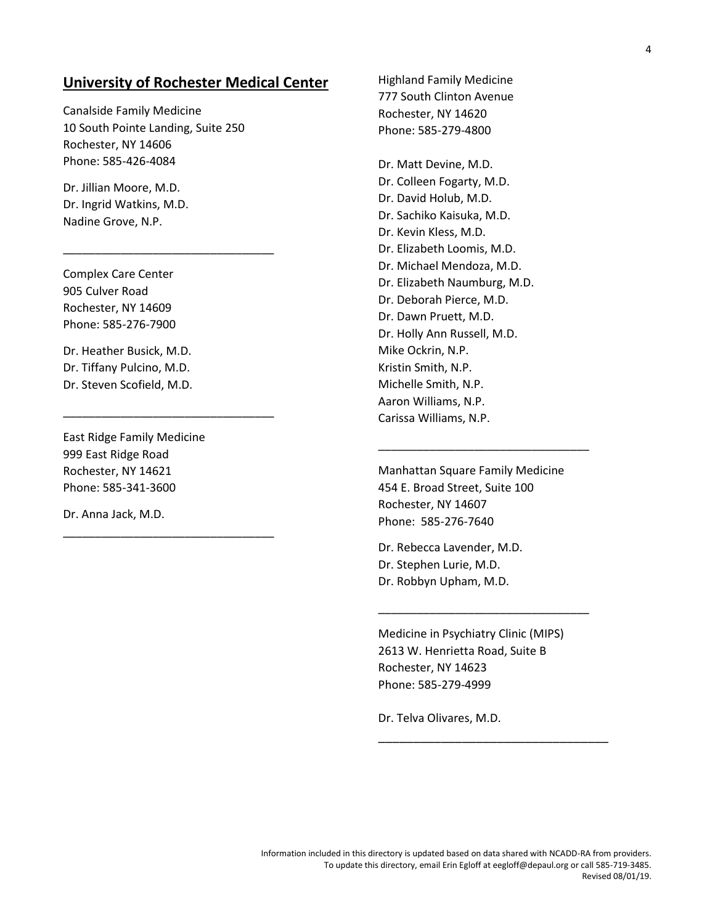## **University of Rochester Medical Center**

Canalside Family Medicine 10 South Pointe Landing, Suite 250 Rochester, NY 14606 Phone: 585-426-4084

\_\_\_\_\_\_\_\_\_\_\_\_\_\_\_\_\_\_\_\_\_\_\_\_\_\_\_\_\_\_\_\_\_

\_\_\_\_\_\_\_\_\_\_\_\_\_\_\_\_\_\_\_\_\_\_\_\_\_\_\_\_\_\_\_\_\_

\_\_\_\_\_\_\_\_\_\_\_\_\_\_\_\_\_\_\_\_\_\_\_\_\_\_\_\_\_\_\_\_\_

Dr. Jillian Moore, M.D. Dr. Ingrid Watkins, M.D. Nadine Grove, N.P.

Complex Care Center 905 Culver Road Rochester, NY 14609 Phone: 585-276-7900

Dr. Heather Busick, M.D. Dr. Tiffany Pulcino, M.D. Dr. Steven Scofield, M.D.

East Ridge Family Medicine 999 East Ridge Road Rochester, NY 14621 Phone: 585-341-3600

Dr. Anna Jack, M.D.

Highland Family Medicine 777 South Clinton Avenue Rochester, NY 14620 Phone: 585-279-4800

Dr. Matt Devine, M.D. Dr. Colleen Fogarty, M.D. Dr. David Holub, M.D. Dr. Sachiko Kaisuka, M.D. Dr. Kevin Kless, M.D. Dr. Elizabeth Loomis, M.D. Dr. Michael Mendoza, M.D. Dr. Elizabeth Naumburg, M.D. Dr. Deborah Pierce, M.D. Dr. Dawn Pruett, M.D. Dr. Holly Ann Russell, M.D. Mike Ockrin, N.P. Kristin Smith, N.P. Michelle Smith, N.P. Aaron Williams, N.P. Carissa Williams, N.P.

Manhattan Square Family Medicine 454 E. Broad Street, Suite 100 Rochester, NY 14607 Phone: 585-276-7640

\_\_\_\_\_\_\_\_\_\_\_\_\_\_\_\_\_\_\_\_\_\_\_\_\_\_\_\_\_\_\_\_\_

Dr. Rebecca Lavender, M.D. Dr. Stephen Lurie, M.D. Dr. Robbyn Upham, M.D.

Medicine in Psychiatry Clinic (MIPS) 2613 W. Henrietta Road, Suite B Rochester, NY 14623 Phone: 585-279-4999

\_\_\_\_\_\_\_\_\_\_\_\_\_\_\_\_\_\_\_\_\_\_\_\_\_\_\_\_\_\_\_\_\_

\_\_\_\_\_\_\_\_\_\_\_\_\_\_\_\_\_\_\_\_\_\_\_\_\_\_\_\_\_\_\_\_\_

Dr. Telva Olivares, M.D.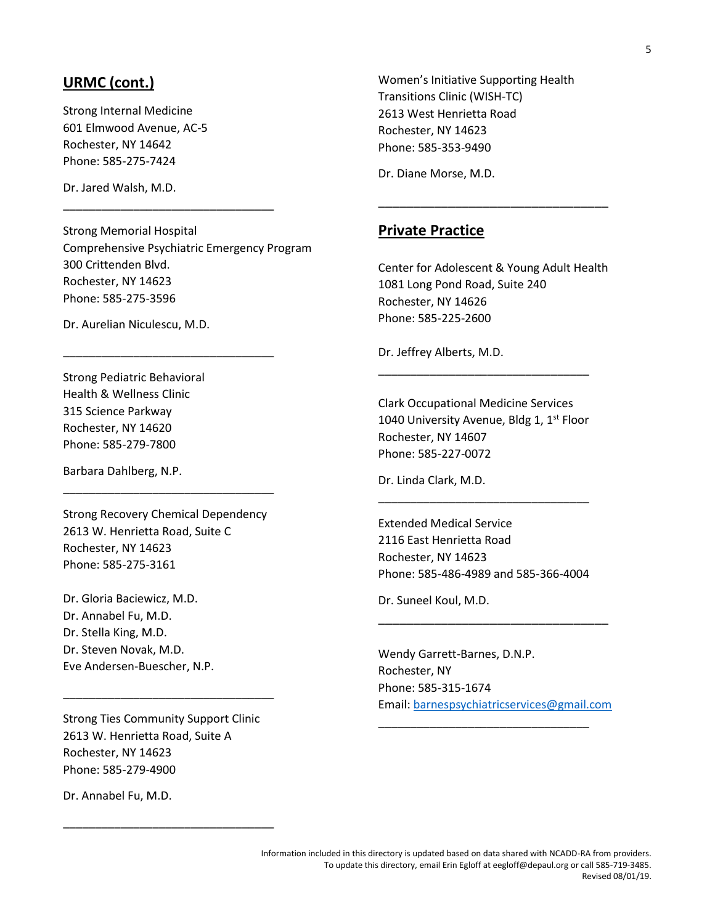## **URMC (cont.)**

Strong Internal Medicine 601 Elmwood Avenue, AC-5 Rochester, NY 14642 Phone: 585-275-7424

Dr. Jared Walsh, M.D.

Strong Memorial Hospital Comprehensive Psychiatric Emergency Program 300 Crittenden Blvd. Rochester, NY 14623 Phone: 585-275-3596

\_\_\_\_\_\_\_\_\_\_\_\_\_\_\_\_\_\_\_\_\_\_\_\_\_\_\_\_\_\_\_\_\_

\_\_\_\_\_\_\_\_\_\_\_\_\_\_\_\_\_\_\_\_\_\_\_\_\_\_\_\_\_\_\_\_\_

Dr. Aurelian Niculescu, M.D.

Strong Pediatric Behavioral Health & Wellness Clinic 315 Science Parkway Rochester, NY 14620 Phone: 585-279-7800

Barbara Dahlberg, N.P.

Strong Recovery Chemical Dependency 2613 W. Henrietta Road, Suite C Rochester, NY 14623 Phone: 585-275-3161

\_\_\_\_\_\_\_\_\_\_\_\_\_\_\_\_\_\_\_\_\_\_\_\_\_\_\_\_\_\_\_\_\_

Dr. Gloria Baciewicz, M.D. Dr. Annabel Fu, M.D. Dr. Stella King, M.D. Dr. Steven Novak, M.D. Eve Andersen-Buescher, N.P.

Strong Ties Community Support Clinic 2613 W. Henrietta Road, Suite A Rochester, NY 14623 Phone: 585-279-4900

\_\_\_\_\_\_\_\_\_\_\_\_\_\_\_\_\_\_\_\_\_\_\_\_\_\_\_\_\_\_\_\_\_

\_\_\_\_\_\_\_\_\_\_\_\_\_\_\_\_\_\_\_\_\_\_\_\_\_\_\_\_\_\_\_\_\_

Dr. Annabel Fu, M.D.

Women's Initiative Supporting Health Transitions Clinic (WISH-TC) 2613 West Henrietta Road Rochester, NY 14623 Phone: 585-353-9490

Dr. Diane Morse, M.D.

#### **Private Practice**

Center for Adolescent & Young Adult Health 1081 Long Pond Road, Suite 240 Rochester, NY 14626 Phone: 585-225-2600

\_\_\_\_\_\_\_\_\_\_\_\_\_\_\_\_\_\_\_\_\_\_\_\_\_\_\_\_\_\_\_\_\_

Dr. Jeffrey Alberts, M.D.

Clark Occupational Medicine Services 1040 University Avenue, Bldg 1, 1<sup>st</sup> Floor Rochester, NY 14607 Phone: 585-227-0072

\_\_\_\_\_\_\_\_\_\_\_\_\_\_\_\_\_\_\_\_\_\_\_\_\_\_\_\_\_\_\_\_\_

Dr. Linda Clark, M.D.

Extended Medical Service 2116 East Henrietta Road Rochester, NY 14623 Phone: 585-486-4989 and 585-366-4004

\_\_\_\_\_\_\_\_\_\_\_\_\_\_\_\_\_\_\_\_\_\_\_\_\_\_\_\_\_\_\_\_\_

Dr. Suneel Koul, M.D.

Wendy Garrett-Barnes, D.N.P. Rochester, NY Phone: 585-315-1674 Email: [barnespsychiatricservices@gmail.com](mailto:barnespsychiatricservices@gmail.com)

\_\_\_\_\_\_\_\_\_\_\_\_\_\_\_\_\_\_\_\_\_\_\_\_\_\_\_\_\_\_\_\_\_

\_\_\_\_\_\_\_\_\_\_\_\_\_\_\_\_\_\_\_\_\_\_\_\_\_\_\_\_\_\_\_\_\_